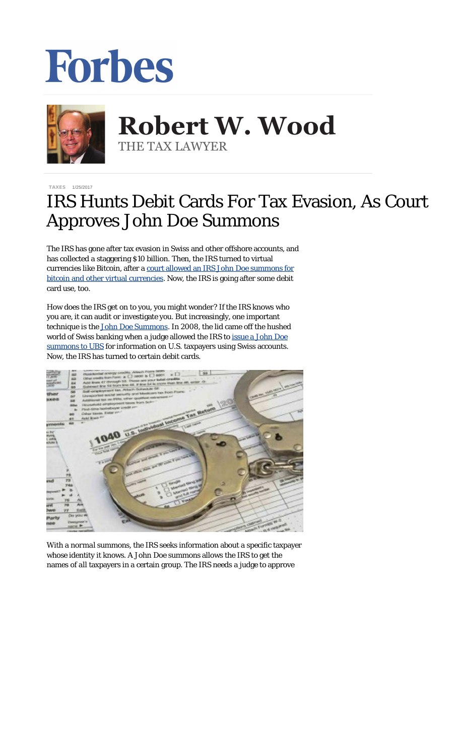## **Forbes**



**Robert W. Wood Robert W. Wood** THE TAX LAWYER THE TAX LAWYER

[TAXES](http://www.forbes.com/taxes) 1/25/2017

## IRS Hunts Debit Cards For Tax Evasion, As Court Approves John Doe Summons

The IRS has gone after tax evasion in Swiss and other offshore accounts, and has collected a staggering \$10 billion. Then, the IRS turned to virtual currencies like Bitcoin, after a [court allowed an IRS John Doe summons for](http://www.forbes.com/sites/robertwood/2016/11/30/court-allows-irs-john-doe-summons-for-users-of-virtual-currency/) [bitcoin and other virtual currencies](http://www.forbes.com/sites/robertwood/2016/11/30/court-allows-irs-john-doe-summons-for-users-of-virtual-currency/). Now, the IRS is going after some debit card use, too.

How does the IRS get on to you, you might wonder? If the IRS knows who you are, it can audit or investigate you. But increasingly, one important technique is the [John Doe Summons](http://www.irs.gov/irm/part25/irm_25-005-007.html). In 2008, the lid came off the hushed world of Swiss banking when a judge allowed the IRS to [issue a John Doe](http://www.justice.gov/tax/txdv08584.htm) [summons to UBS](http://www.justice.gov/tax/txdv08584.htm) for information on U.S. taxpayers using Swiss accounts. Now, the IRS has turned to certain debit cards.



With a *normal* summons, the IRS seeks information about a specific taxpayer whose identity it knows. A John Doe summons allows the IRS to get the names of *all* taxpayers in a certain group. The IRS needs a judge to approve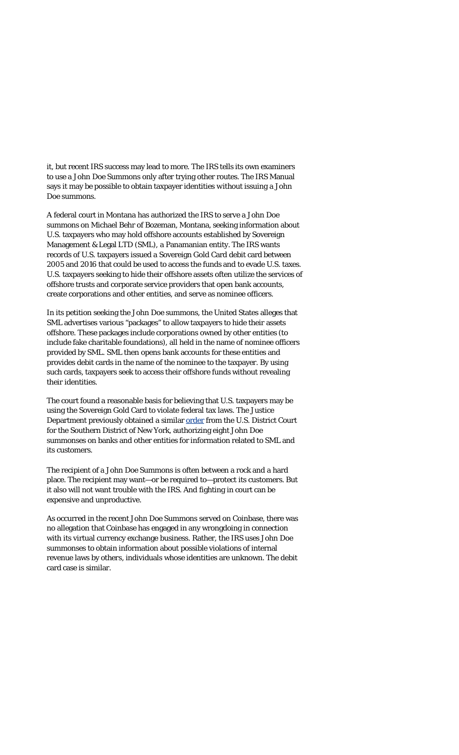it, but recent IRS success may lead to more. The IRS tells its own examiners to use a John Doe Summons only after trying other routes. The IRS Manual says it may be possible to obtain taxpayer identities *without* issuing a John Doe summons.

A federal court in Montana has authorized the IRS to serve a John Doe summons on Michael Behr of Bozeman, Montana, seeking information about U.S. taxpayers who may hold offshore accounts established by Sovereign Management & Legal LTD (SML), a Panamanian entity. The IRS wants records of U.S. taxpayers issued a Sovereign Gold Card debit card between 2005 and 2016 that could be used to access the funds and to evade U.S. taxes. U.S. taxpayers seeking to hide their offshore assets often utilize the services of offshore trusts and corporate service providers that open bank accounts, create corporations and other entities, and serve as nominee officers.

In its petition seeking the John Doe summons, the United States alleges that SML advertises various "packages" to allow taxpayers to hide their assets offshore. These packages include corporations owned by other entities (to include fake charitable foundations), all held in the name of nominee officers provided by SML. SML then opens bank accounts for these entities and provides debit cards in the name of the nominee to the taxpayer. By using such cards, taxpayers seek to access their offshore funds without revealing their identities.

The court found a reasonable basis for believing that U.S. taxpayers may be using the Sovereign Gold Card to violate federal tax laws. The Justice Department previously obtained a similar [order](https://remote.woodllp.com/owa/redir.aspx?SURL=JiwZdDtq7BfW9FvUb-gz-Q55biFOtgHEXwqudFAFg-63NcS84kTUCGgAdAB0AHAAcwA6AC8ALwB3AHcAdwAuAGoAdQBzAHQAaQBjAGUALgBnAG8AdgAvAHUAcwBhAG8ALQBzAGQAbgB5AC8AcAByAC8AYwBvAHUAcgB0AC0AYQB1AHQAaABvAHIAaQB6AGUAcwAtAGkAcgBzAC0AaQBzAHMAdQBlAC0AcwB1AG0AbQBvAG4AcwBlAHMALQByAGUAYwBvAHIAZABzAC0AcgBlAGwAYQB0AGkAbgBnAC0AdQBzAC0AdABhAHgAcABhAHkAZQByAHMALQB3AGgAbwAtAHUAcwBlAGQALQBzAGUAcgB2AGkAYwBlAHMA&URL=https%3a%2f%2fwww.justice.gov%2fusao-sdny%2fpr%2fcourt-authorizes-irs-issue-summonses-records-relating-us-taxpayers-who-used-services) from the U.S. District Court for the Southern District of New York, authorizing eight John Doe summonses on banks and other entities for information related to SML and its customers.

The recipient of a John Doe Summons is often between a rock and a hard place. The recipient may want—or be required to—protect its customers. But it also will not want trouble with the IRS. And fighting in court can be expensive and unproductive.

As occurred in the recent John Doe Summons served on Coinbase, there was no allegation that Coinbase has engaged in any wrongdoing in connection with its virtual currency exchange business. Rather, the IRS uses John Doe summonses to obtain information about possible violations of internal revenue laws by *others*, individuals whose identities are unknown. The debit card case is similar.